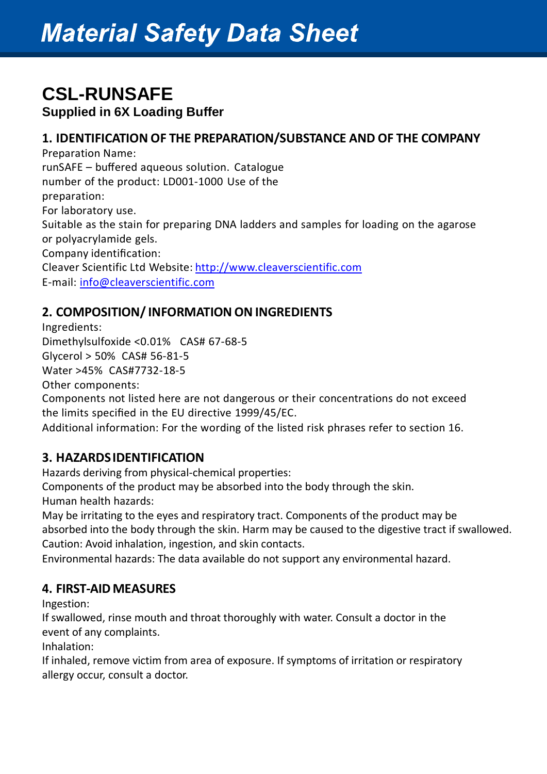### **CSL-RUNSAFE**

**Supplied in 6X Loading Buffer**

### **1. IDENTIFICATION OF THE PREPARATION/SUBSTANCE AND OF THE COMPANY**

Preparation Name: runSAFE – buffered aqueous solution. Catalogue number of the product: LD001-1000 Use of the preparation: For laboratory use. Suitable as the stain for preparing DNA ladders and samples for loading on the agarose or polyacrylamide gels. Company identification: Cleaver Scientific Ltd Website: [http://www.cleaverscientific.com](http://www.cleaverscientific.com/) E-mail: [info@cleaverscientific.com](mailto:info@cleaverscientific.com)

### **2. COMPOSITION/INFORMATION ON INGREDIENTS**

Ingredients:

Dimethylsulfoxide <0.01% CAS# 67-68-5

Glycerol > 50% CAS# 56-81-5

Water >45% CAS#7732-18-5

Other components:

Components not listed here are not dangerous or their concentrations do not exceed the limits specified in the EU directive 1999/45/EC.

Additional information: For the wording of the listed risk phrases refer to section 16.

### **3. HAZARDSIDENTIFICATION**

Hazards deriving from physical-chemical properties:

Components of the product may be absorbed into the body through the skin. Human health hazards:

May be irritating to the eyes and respiratory tract. Components of the product may be absorbed into the body through the skin. Harm may be caused to the digestive tract if swallowed. Caution: Avoid inhalation, ingestion, and skin contacts.

Environmental hazards: The data available do not support any environmental hazard.

### **4. FIRST-AID MEASURES**

Ingestion:

If swallowed, rinse mouth and throat thoroughly with water. Consult a doctor in the event of any complaints.

Inhalation:

If inhaled, remove victim from area of exposure. If symptoms of irritation or respiratory allergy occur, consult a doctor.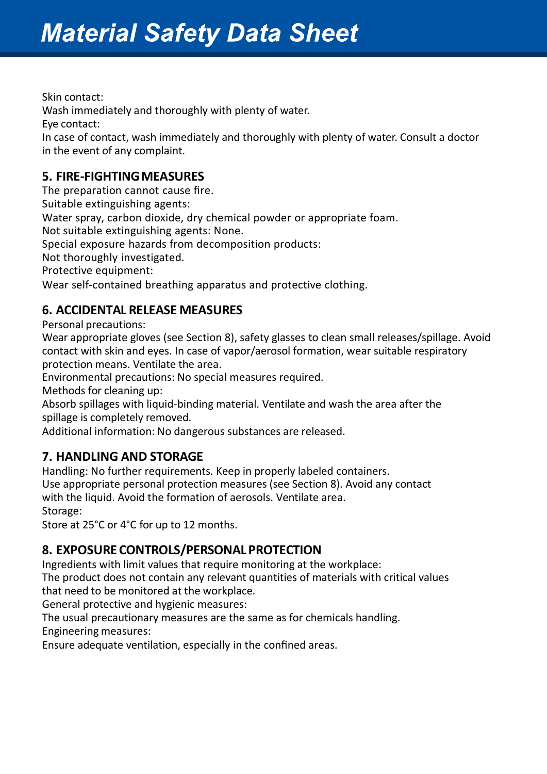Skin contact: Wash immediately and thoroughly with plenty of water. Eye contact: In case of contact, wash immediately and thoroughly with plenty of water. Consult a doctor in the event of any complaint.

### **5. FIRE-FIGHTINGMEASURES**

The preparation cannot cause fire.

Suitable extinguishing agents:

Water spray, carbon dioxide, dry chemical powder or appropriate foam.

Not suitable extinguishing agents: None.

Special exposure hazards from decomposition products:

Not thoroughly investigated.

Protective equipment:

Wear self-contained breathing apparatus and protective clothing.

### **6. ACCIDENTAL RELEASE MEASURES**

Personal precautions:

Wear appropriate gloves (see Section 8), safety glasses to clean small releases/spillage. Avoid contact with skin and eyes. In case of vapor/aerosol formation, wear suitable respiratory protection means. Ventilate the area.

Environmental precautions: No special measures required.

Methods for cleaning up:

Absorb spillages with liquid-binding material. Ventilate and wash the area after the spillage is completely removed.

Additional information: No dangerous substances are released.

### **7. HANDLING AND STORAGE**

Handling: No further requirements. Keep in properly labeled containers. Use appropriate personal protection measures (see Section 8). Avoid any contact with the liquid. Avoid the formation of aerosols. Ventilate area.

Storage:

Store at 25°C or 4°C for up to 12 months.

### **8. EXPOSURE CONTROLS/PERSONAL PROTECTION**

Ingredients with limit values that require monitoring at the workplace:

The product does not contain any relevant quantities of materials with critical values that need to be monitored at the workplace.

General protective and hygienic measures:

The usual precautionary measures are the same as for chemicals handling.

Engineering measures:

Ensure adequate ventilation, especially in the confined areas.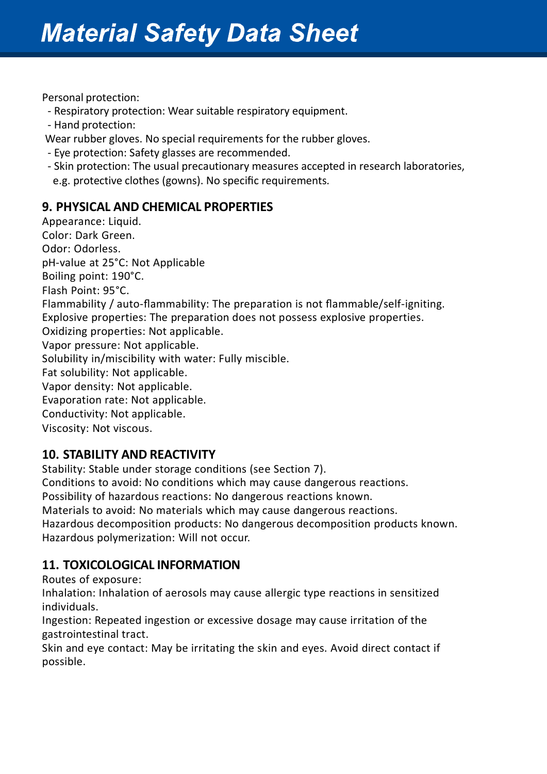Personal protection:

- Respiratory protection: Wear suitable respiratory equipment.
- Hand protection:

Wear rubber gloves. No special requirements for the rubber gloves.

- Eye protection: Safety glasses are recommended.
- Skin protection: The usual precautionary measures accepted in research laboratories, e.g. protective clothes (gowns). No specific requirements.

### **9. PHYSICAL AND CHEMICAL PROPERTIES**

Appearance: Liquid. Color: Dark Green. Odor: Odorless. pH-value at 25°C: Not Applicable Boiling point: 190°C. Flash Point: 95°C. Flammability / auto-flammability: The preparation is not flammable/self-igniting. Explosive properties: The preparation does not possess explosive properties. Oxidizing properties: Not applicable. Vapor pressure: Not applicable. Solubility in/miscibility with water: Fully miscible. Fat solubility: Not applicable. Vapor density: Not applicable. Evaporation rate: Not applicable. Conductivity: Not applicable. Viscosity: Not viscous.

### **10. STABILITY AND REACTIVITY**

Stability: Stable under storage conditions (see Section 7). Conditions to avoid: No conditions which may cause dangerous reactions. Possibility of hazardous reactions: No dangerous reactions known. Materials to avoid: No materials which may cause dangerous reactions. Hazardous decomposition products: No dangerous decomposition products known.

Hazardous polymerization: Will not occur.

### **11. TOXICOLOGICAL INFORMATION**

Routes of exposure:

Inhalation: Inhalation of aerosols may cause allergic type reactions in sensitized individuals.

Ingestion: Repeated ingestion or excessive dosage may cause irritation of the gastrointestinal tract.

Skin and eye contact: May be irritating the skin and eyes. Avoid direct contact if possible.